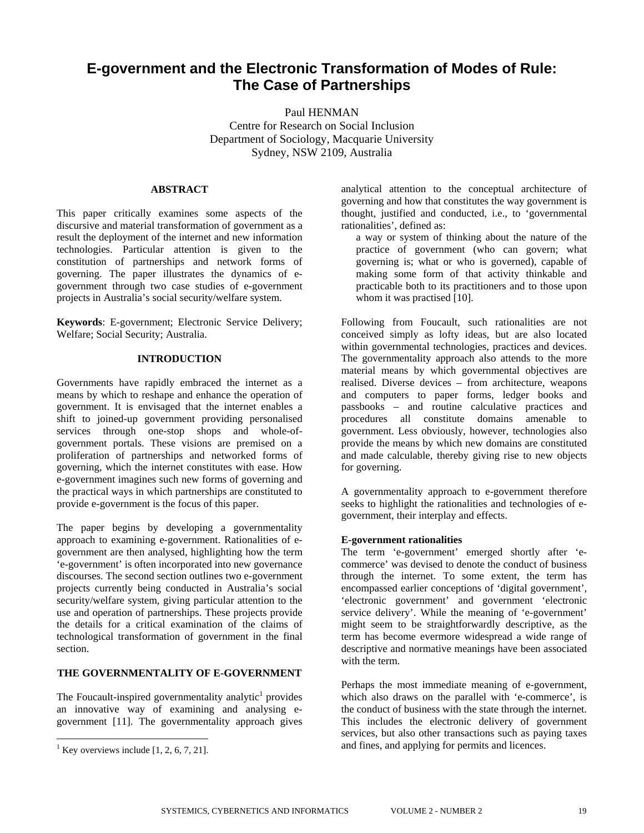# **E-government and the Electronic Transformation of Modes of Rule: The Case of Partnerships**

Paul HENMAN Centre for Research on Social Inclusion Department of Sociology, Macquarie University Sydney, NSW 2109, Australia

#### **ABSTRACT**

This paper critically examines some aspects of the discursive and material transformation of government as a result the deployment of the internet and new information technologies. Particular attention is given to the constitution of partnerships and network forms of governing. The paper illustrates the dynamics of egovernment through two case studies of e-government projects in Australia's social security/welfare system.

**Keywords**: E-government; Electronic Service Delivery; Welfare; Social Security; Australia.

# **INTRODUCTION**

Governments have rapidly embraced the internet as a means by which to reshape and enhance the operation of government. It is envisaged that the internet enables a shift to joined-up government providing personalised services through one-stop shops and whole-ofgovernment portals. These visions are premised on a proliferation of partnerships and networked forms of governing, which the internet constitutes with ease. How e-government imagines such new forms of governing and the practical ways in which partnerships are constituted to provide e-government is the focus of this paper.

The paper begins by developing a governmentality approach to examining e-government. Rationalities of egovernment are then analysed, highlighting how the term 'e-government' is often incorporated into new governance discourses. The second section outlines two e-government projects currently being conducted in Australia's social security/welfare system, giving particular attention to the use and operation of partnerships. These projects provide the details for a critical examination of the claims of technological transformation of government in the final section.

# **THE GOVERNMENTALITY OF E-GOVERNMENT**

The Foucault-inspired governmentality analytic<sup>[1](#page-0-0)</sup> provides an innovative way of examining and analysing egovernment [11]. The governmentality approach gives

 $\overline{a}$ 

analytical attention to the conceptual architecture of governing and how that constitutes the way government is thought, justified and conducted, i.e., to 'governmental rationalities', defined as:

a way or system of thinking about the nature of the practice of government (who can govern; what governing is; what or who is governed), capable of making some form of that activity thinkable and practicable both to its practitioners and to those upon whom it was practised [10].

Following from Foucault, such rationalities are not conceived simply as lofty ideas, but are also located within governmental technologies, practices and devices. The governmentality approach also attends to the more material means by which governmental objectives are realised. Diverse devices – from architecture, weapons and computers to paper forms, ledger books and passbooks – and routine calculative practices and procedures all constitute domains amenable to government. Less obviously, however, technologies also provide the means by which new domains are constituted and made calculable, thereby giving rise to new objects for governing.

A governmentality approach to e-government therefore seeks to highlight the rationalities and technologies of egovernment, their interplay and effects.

#### **E-government rationalities**

The term 'e-government' emerged shortly after 'ecommerce' was devised to denote the conduct of business through the internet. To some extent, the term has encompassed earlier conceptions of 'digital government', 'electronic government' and government 'electronic service delivery'. While the meaning of 'e-government' might seem to be straightforwardly descriptive, as the term has become evermore widespread a wide range of descriptive and normative meanings have been associated with the term.

Perhaps the most immediate meaning of e-government, which also draws on the parallel with 'e-commerce', is the conduct of business with the state through the internet. This includes the electronic delivery of government services, but also other transactions such as paying taxes and fines, and applying for permits and licences.

<span id="page-0-0"></span><sup>&</sup>lt;sup>1</sup> Key overviews include [1, 2, 6, 7, 21].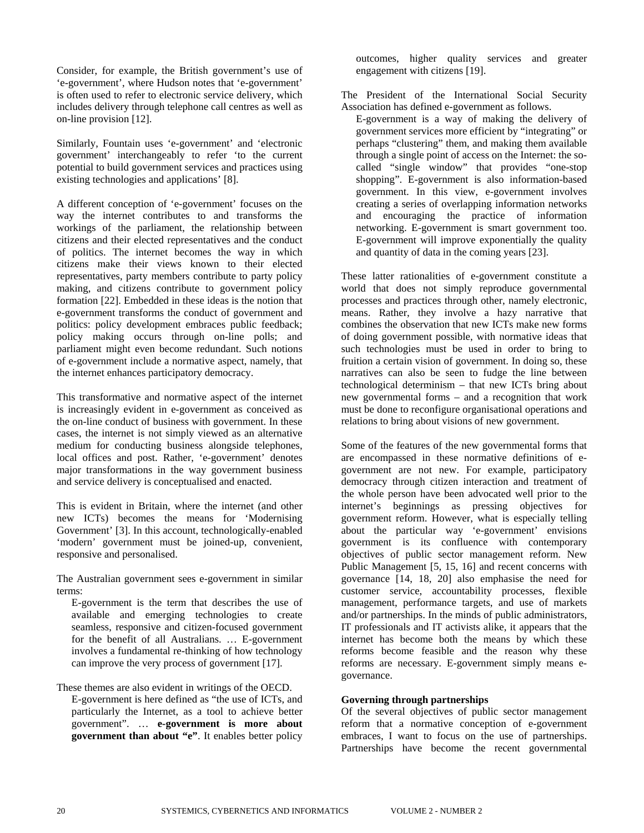Consider, for example, the British government's use of 'e-government', where Hudson notes that 'e-government' is often used to refer to electronic service delivery, which includes delivery through telephone call centres as well as on-line provision [12].

Similarly, Fountain uses 'e-government' and 'electronic government' interchangeably to refer 'to the current potential to build government services and practices using existing technologies and applications' [8].

A different conception of 'e-government' focuses on the way the internet contributes to and transforms the workings of the parliament, the relationship between citizens and their elected representatives and the conduct of politics. The internet becomes the way in which citizens make their views known to their elected representatives, party members contribute to party policy making, and citizens contribute to government policy formation [22]. Embedded in these ideas is the notion that e-government transforms the conduct of government and politics: policy development embraces public feedback; policy making occurs through on-line polls; and parliament might even become redundant. Such notions of e-government include a normative aspect, namely, that the internet enhances participatory democracy.

This transformative and normative aspect of the internet is increasingly evident in e-government as conceived as the on-line conduct of business with government. In these cases, the internet is not simply viewed as an alternative medium for conducting business alongside telephones, local offices and post. Rather, 'e-government' denotes major transformations in the way government business and service delivery is conceptualised and enacted.

This is evident in Britain, where the internet (and other new ICTs) becomes the means for 'Modernising Government' [3]. In this account, technologically-enabled 'modern' government must be joined-up, convenient, responsive and personalised.

The Australian government sees e-government in similar terms:

E-government is the term that describes the use of available and emerging technologies to create seamless, responsive and citizen-focused government for the benefit of all Australians. … E-government involves a fundamental re-thinking of how technology can improve the very process of government [17].

These themes are also evident in writings of the OECD. E-government is here defined as "the use of ICTs, and particularly the Internet, as a tool to achieve better government". … **e-government is more about government than about "e"**. It enables better policy outcomes, higher quality services and greater engagement with citizens [19].

The President of the International Social Security Association has defined e-government as follows.

E-government is a way of making the delivery of government services more efficient by "integrating" or perhaps "clustering" them, and making them available through a single point of access on the Internet: the socalled "single window" that provides "one-stop shopping". E-government is also information-based government. In this view, e-government involves creating a series of overlapping information networks and encouraging the practice of information networking. E-government is smart government too. E-government will improve exponentially the quality and quantity of data in the coming years [23].

These latter rationalities of e-government constitute a world that does not simply reproduce governmental processes and practices through other, namely electronic, means. Rather, they involve a hazy narrative that combines the observation that new ICTs make new forms of doing government possible, with normative ideas that such technologies must be used in order to bring to fruition a certain vision of government. In doing so, these narratives can also be seen to fudge the line between technological determinism – that new ICTs bring about new governmental forms – and a recognition that work must be done to reconfigure organisational operations and relations to bring about visions of new government.

Some of the features of the new governmental forms that are encompassed in these normative definitions of egovernment are not new. For example, participatory democracy through citizen interaction and treatment of the whole person have been advocated well prior to the internet's beginnings as pressing objectives for government reform. However, what is especially telling about the particular way 'e-government' envisions government is its confluence with contemporary objectives of public sector management reform. New Public Management [5, 15, 16] and recent concerns with governance [14, 18, 20] also emphasise the need for customer service, accountability processes, flexible management, performance targets, and use of markets and/or partnerships. In the minds of public administrators, IT professionals and IT activists alike, it appears that the internet has become both the means by which these reforms become feasible and the reason why these reforms are necessary. E-government simply means egovernance.

# **Governing through partnerships**

Of the several objectives of public sector management reform that a normative conception of e-government embraces, I want to focus on the use of partnerships. Partnerships have become the recent governmental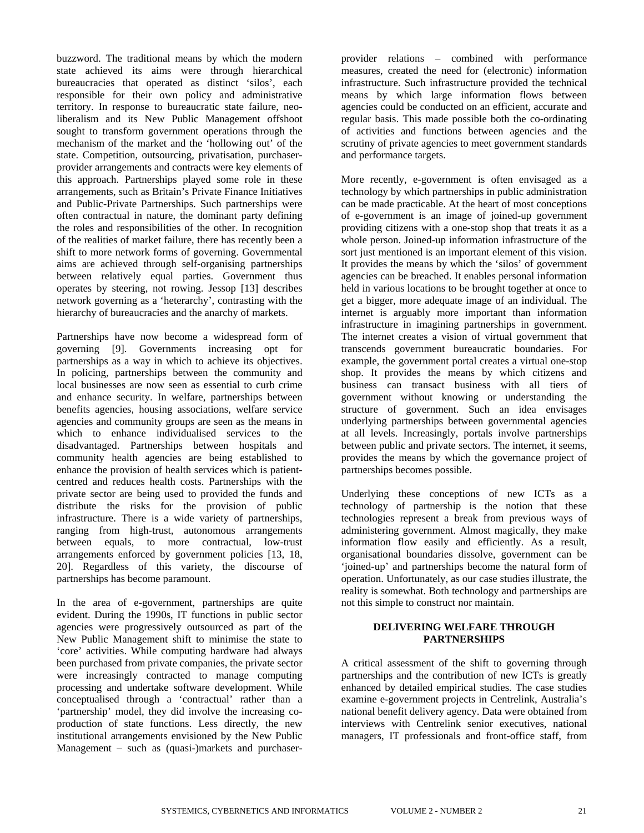buzzword. The traditional means by which the modern state achieved its aims were through hierarchical bureaucracies that operated as distinct 'silos', each responsible for their own policy and administrative territory. In response to bureaucratic state failure, neoliberalism and its New Public Management offshoot sought to transform government operations through the mechanism of the market and the 'hollowing out' of the state. Competition, outsourcing, privatisation, purchaserprovider arrangements and contracts were key elements of this approach. Partnerships played some role in these arrangements, such as Britain's Private Finance Initiatives and Public-Private Partnerships. Such partnerships were often contractual in nature, the dominant party defining the roles and responsibilities of the other. In recognition of the realities of market failure, there has recently been a shift to more network forms of governing. Governmental aims are achieved through self-organising partnerships between relatively equal parties. Government thus operates by steering, not rowing. Jessop [13] describes network governing as a 'heterarchy', contrasting with the hierarchy of bureaucracies and the anarchy of markets.

Partnerships have now become a widespread form of governing [9]. Governments increasing opt for partnerships as a way in which to achieve its objectives. In policing, partnerships between the community and local businesses are now seen as essential to curb crime and enhance security. In welfare, partnerships between benefits agencies, housing associations, welfare service agencies and community groups are seen as the means in which to enhance individualised services to the disadvantaged. Partnerships between hospitals and community health agencies are being established to enhance the provision of health services which is patientcentred and reduces health costs. Partnerships with the private sector are being used to provided the funds and distribute the risks for the provision of public infrastructure. There is a wide variety of partnerships, ranging from high-trust, autonomous arrangements between equals, to more contractual, low-trust arrangements enforced by government policies [13, 18, 20]. Regardless of this variety, the discourse of partnerships has become paramount.

In the area of e-government, partnerships are quite evident. During the 1990s, IT functions in public sector agencies were progressively outsourced as part of the New Public Management shift to minimise the state to 'core' activities. While computing hardware had always been purchased from private companies, the private sector were increasingly contracted to manage computing processing and undertake software development. While conceptualised through a 'contractual' rather than a 'partnership' model, they did involve the increasing coproduction of state functions. Less directly, the new institutional arrangements envisioned by the New Public Management – such as (quasi-)markets and purchaserprovider relations – combined with performance measures, created the need for (electronic) information infrastructure. Such infrastructure provided the technical means by which large information flows between agencies could be conducted on an efficient, accurate and regular basis. This made possible both the co-ordinating of activities and functions between agencies and the scrutiny of private agencies to meet government standards and performance targets.

More recently, e-government is often envisaged as a technology by which partnerships in public administration can be made practicable. At the heart of most conceptions of e-government is an image of joined-up government providing citizens with a one-stop shop that treats it as a whole person. Joined-up information infrastructure of the sort just mentioned is an important element of this vision. It provides the means by which the 'silos' of government agencies can be breached. It enables personal information held in various locations to be brought together at once to get a bigger, more adequate image of an individual. The internet is arguably more important than information infrastructure in imagining partnerships in government. The internet creates a vision of virtual government that transcends government bureaucratic boundaries. For example, the government portal creates a virtual one-stop shop. It provides the means by which citizens and business can transact business with all tiers of government without knowing or understanding the structure of government. Such an idea envisages underlying partnerships between governmental agencies at all levels. Increasingly, portals involve partnerships between public and private sectors. The internet, it seems, provides the means by which the governance project of partnerships becomes possible.

Underlying these conceptions of new ICTs as a technology of partnership is the notion that these technologies represent a break from previous ways of administering government. Almost magically, they make information flow easily and efficiently. As a result, organisational boundaries dissolve, government can be 'joined-up' and partnerships become the natural form of operation. Unfortunately, as our case studies illustrate, the reality is somewhat. Both technology and partnerships are not this simple to construct nor maintain.

# **DELIVERING WELFARE THROUGH PARTNERSHIPS**

A critical assessment of the shift to governing through partnerships and the contribution of new ICTs is greatly enhanced by detailed empirical studies. The case studies examine e-government projects in Centrelink, Australia's national benefit delivery agency. Data were obtained from interviews with Centrelink senior executives, national managers, IT professionals and front-office staff, from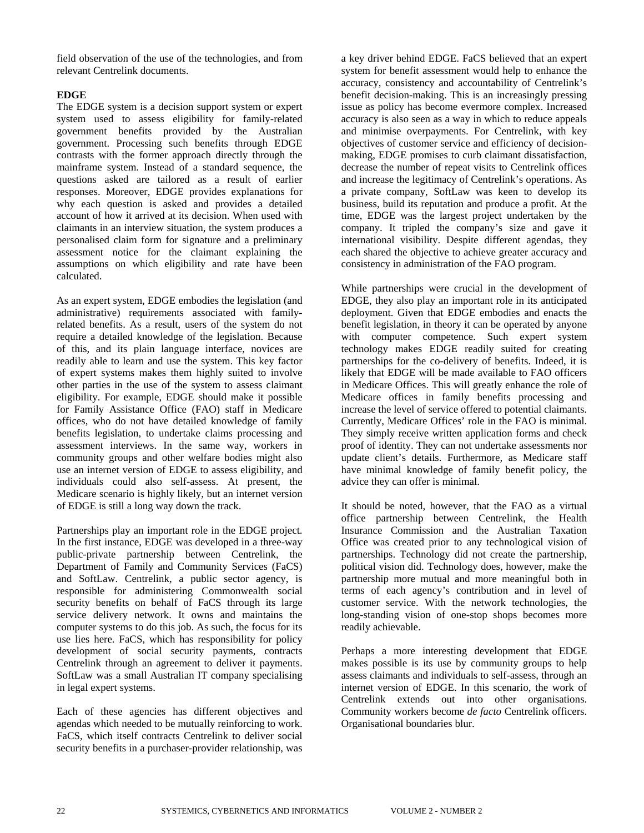field observation of the use of the technologies, and from relevant Centrelink documents.

# **EDGE**

The EDGE system is a decision support system or expert system used to assess eligibility for family-related government benefits provided by the Australian government. Processing such benefits through EDGE contrasts with the former approach directly through the mainframe system. Instead of a standard sequence, the questions asked are tailored as a result of earlier responses. Moreover, EDGE provides explanations for why each question is asked and provides a detailed account of how it arrived at its decision. When used with claimants in an interview situation, the system produces a personalised claim form for signature and a preliminary assessment notice for the claimant explaining the assumptions on which eligibility and rate have been calculated.

As an expert system, EDGE embodies the legislation (and administrative) requirements associated with familyrelated benefits. As a result, users of the system do not require a detailed knowledge of the legislation. Because of this, and its plain language interface, novices are readily able to learn and use the system. This key factor of expert systems makes them highly suited to involve other parties in the use of the system to assess claimant eligibility. For example, EDGE should make it possible for Family Assistance Office (FAO) staff in Medicare offices, who do not have detailed knowledge of family benefits legislation, to undertake claims processing and assessment interviews. In the same way, workers in community groups and other welfare bodies might also use an internet version of EDGE to assess eligibility, and individuals could also self-assess. At present, the Medicare scenario is highly likely, but an internet version of EDGE is still a long way down the track.

Partnerships play an important role in the EDGE project. In the first instance, EDGE was developed in a three-way public-private partnership between Centrelink, the Department of Family and Community Services (FaCS) and SoftLaw. Centrelink, a public sector agency, is responsible for administering Commonwealth social security benefits on behalf of FaCS through its large service delivery network. It owns and maintains the computer systems to do this job. As such, the focus for its use lies here. FaCS, which has responsibility for policy development of social security payments, contracts Centrelink through an agreement to deliver it payments. SoftLaw was a small Australian IT company specialising in legal expert systems.

Each of these agencies has different objectives and agendas which needed to be mutually reinforcing to work. FaCS, which itself contracts Centrelink to deliver social security benefits in a purchaser-provider relationship, was a key driver behind EDGE. FaCS believed that an expert system for benefit assessment would help to enhance the accuracy, consistency and accountability of Centrelink's benefit decision-making. This is an increasingly pressing issue as policy has become evermore complex. Increased accuracy is also seen as a way in which to reduce appeals and minimise overpayments. For Centrelink, with key objectives of customer service and efficiency of decisionmaking, EDGE promises to curb claimant dissatisfaction, decrease the number of repeat visits to Centrelink offices and increase the legitimacy of Centrelink's operations. As a private company, SoftLaw was keen to develop its business, build its reputation and produce a profit. At the time, EDGE was the largest project undertaken by the company. It tripled the company's size and gave it international visibility. Despite different agendas, they each shared the objective to achieve greater accuracy and consistency in administration of the FAO program.

While partnerships were crucial in the development of EDGE, they also play an important role in its anticipated deployment. Given that EDGE embodies and enacts the benefit legislation, in theory it can be operated by anyone with computer competence. Such expert system technology makes EDGE readily suited for creating partnerships for the co-delivery of benefits. Indeed, it is likely that EDGE will be made available to FAO officers in Medicare Offices. This will greatly enhance the role of Medicare offices in family benefits processing and increase the level of service offered to potential claimants. Currently, Medicare Offices' role in the FAO is minimal. They simply receive written application forms and check proof of identity. They can not undertake assessments nor update client's details. Furthermore, as Medicare staff have minimal knowledge of family benefit policy, the advice they can offer is minimal.

It should be noted, however, that the FAO as a virtual office partnership between Centrelink, the Health Insurance Commission and the Australian Taxation Office was created prior to any technological vision of partnerships. Technology did not create the partnership, political vision did. Technology does, however, make the partnership more mutual and more meaningful both in terms of each agency's contribution and in level of customer service. With the network technologies, the long-standing vision of one-stop shops becomes more readily achievable.

Perhaps a more interesting development that EDGE makes possible is its use by community groups to help assess claimants and individuals to self-assess, through an internet version of EDGE. In this scenario, the work of Centrelink extends out into other organisations. Community workers become *de facto* Centrelink officers. Organisational boundaries blur.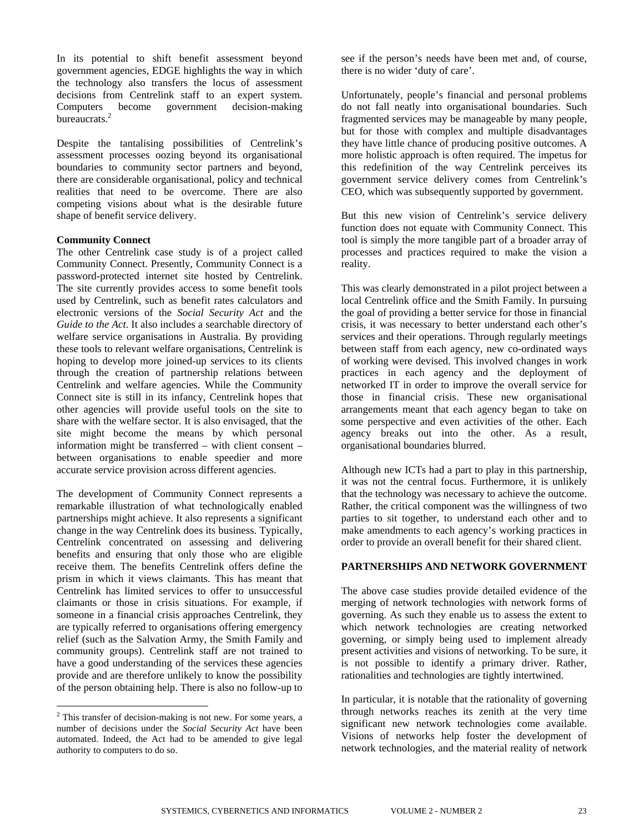In its potential to shift benefit assessment beyond government agencies, EDGE highlights the way in which the technology also transfers the locus of assessment decisions from Centrelink staff to an expert system. Computers become government decision-making bureaucrats.<sup>2</sup>

Despite the tantalising possibilities of Centrelink's assessment processes oozing beyond its organisational boundaries to community sector partners and beyond, there are considerable organisational, policy and technical realities that need to be overcome. There are also competing visions about what is the desirable future shape of benefit service delivery.

### **Community Connect**

The other Centrelink case study is of a project called Community Connect. Presently, Community Connect is a password-protected internet site hosted by Centrelink. The site currently provides access to some benefit tools used by Centrelink, such as benefit rates calculators and electronic versions of the *Social Security Act* and the *Guide to the Act*. It also includes a searchable directory of welfare service organisations in Australia. By providing these tools to relevant welfare organisations, Centrelink is hoping to develop more joined-up services to its clients through the creation of partnership relations between Centrelink and welfare agencies. While the Community Connect site is still in its infancy, Centrelink hopes that other agencies will provide useful tools on the site to share with the welfare sector. It is also envisaged, that the site might become the means by which personal information might be transferred – with client consent – between organisations to enable speedier and more accurate service provision across different agencies.

The development of Community Connect represents a remarkable illustration of what technologically enabled partnerships might achieve. It also represents a significant change in the way Centrelink does its business. Typically, Centrelink concentrated on assessing and delivering benefits and ensuring that only those who are eligible receive them. The benefits Centrelink offers define the prism in which it views claimants. This has meant that Centrelink has limited services to offer to unsuccessful claimants or those in crisis situations. For example, if someone in a financial crisis approaches Centrelink, they are typically referred to organisations offering emergency relief (such as the Salvation Army, the Smith Family and community groups). Centrelink staff are not trained to have a good understanding of the services these agencies provide and are therefore unlikely to know the possibility of the person obtaining help. There is also no follow-up to see if the person's needs have been met and, of course, there is no wider 'duty of care'.

Unfortunately, people's financial and personal problems do not fall neatly into organisational boundaries. Such fragmented services may be manageable by many people, but for those with complex and multiple disadvantages they have little chance of producing positive outcomes. A more holistic approach is often required. The impetus for this redefinition of the way Centrelink perceives its government service delivery comes from Centrelink's CEO, which was subsequently supported by government.

But this new vision of Centrelink's service delivery function does not equate with Community Connect. This tool is simply the more tangible part of a broader array of processes and practices required to make the vision a reality.

This was clearly demonstrated in a pilot project between a local Centrelink office and the Smith Family. In pursuing the goal of providing a better service for those in financial crisis, it was necessary to better understand each other's services and their operations. Through regularly meetings between staff from each agency, new co-ordinated ways of working were devised. This involved changes in work practices in each agency and the deployment of networked IT in order to improve the overall service for those in financial crisis. These new organisational arrangements meant that each agency began to take on some perspective and even activities of the other. Each agency breaks out into the other. As a result, organisational boundaries blurred.

Although new ICTs had a part to play in this partnership, it was not the central focus. Furthermore, it is unlikely that the technology was necessary to achieve the outcome. Rather, the critical component was the willingness of two parties to sit together, to understand each other and to make amendments to each agency's working practices in order to provide an overall benefit for their shared client.

### **PARTNERSHIPS AND NETWORK GOVERNMENT**

The above case studies provide detailed evidence of the merging of network technologies with network forms of governing. As such they enable us to assess the extent to which network technologies are creating networked governing, or simply being used to implement already present activities and visions of networking. To be sure, it is not possible to identify a primary driver. Rather, rationalities and technologies are tightly intertwined.

In particular, it is notable that the rationality of governing through networks reaches its zenith at the very time significant new network technologies come available. Visions of networks help foster the development of network technologies, and the material reality of network

<span id="page-4-0"></span><sup>&</sup>lt;sup>2</sup> This transfer of decision-making is not new. For some years, a number of decisions under the *Social Security Act* have been automated. Indeed, the Act had to be amended to give legal authority to computers to do so.